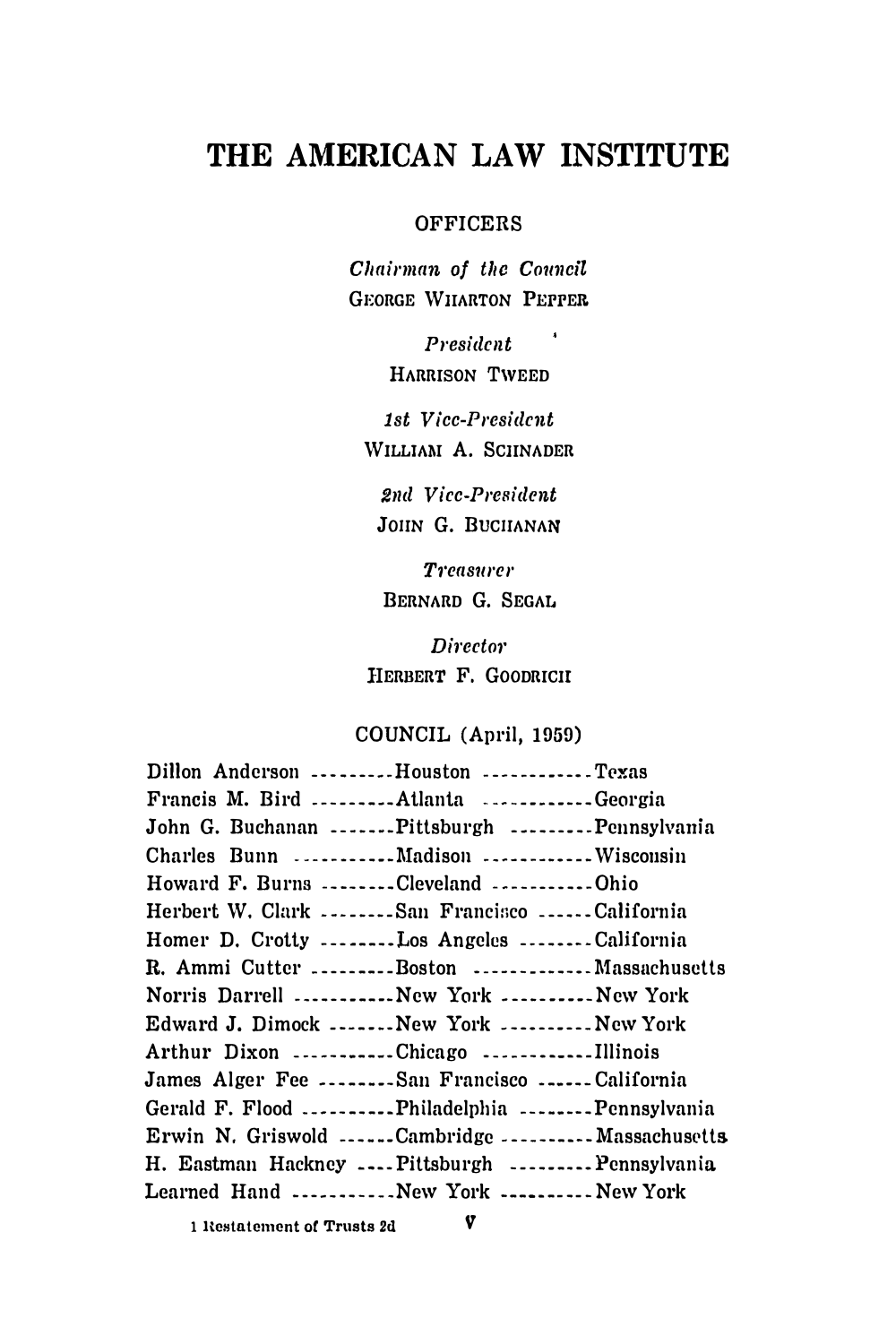# THE AMERICAN LAW INSTITUTE

#### **OFFICERS**

Chairman of the Council **GEORGE WIIARTON PEPPER** 

> $\sim$   $-$ **President** HARRISON TWEED

1st Vicc-President WILLIAM A. SCHNADER

2nd Vicc-President JOHN G. BUCHANAN

**Treasurer** BERNARD G. SEGAL

**Director** HERBERT F. GOODRICII

## COUNCIL (April, 1959)

| Dillon Anderson Houston Texas                          |  |
|--------------------------------------------------------|--|
| Francis M. Bird Atlanta Georgia                        |  |
| John G. Buchanan Pittsburgh Pennsylvania               |  |
| Charles Bunn Madison Wiscousin                         |  |
| Howard F. Burns Cleveland Ohio                         |  |
| Herbert W. Clark San Francisco California              |  |
| Homer D. Crotty --------Los Angeles --------California |  |
| R. Ammi Cutter Boston  Massachusetts                   |  |
| Norris Darrell New York New York                       |  |
| Edward J. Dimock New York  New York                    |  |
| Arthur Dixon Chicago Illinois                          |  |
| James Alger Fee San Francisco California               |  |
| Gerald F. Flood Philadelphia Pennsylvania              |  |
| Erwin N. Griswold Cambridge Massachusetts              |  |
| H. Eastman Hackney  Pittsburgh  Pennsylvania           |  |
| Learned Hand New York  New York                        |  |
|                                                        |  |

1 Restatement of Trusts 2d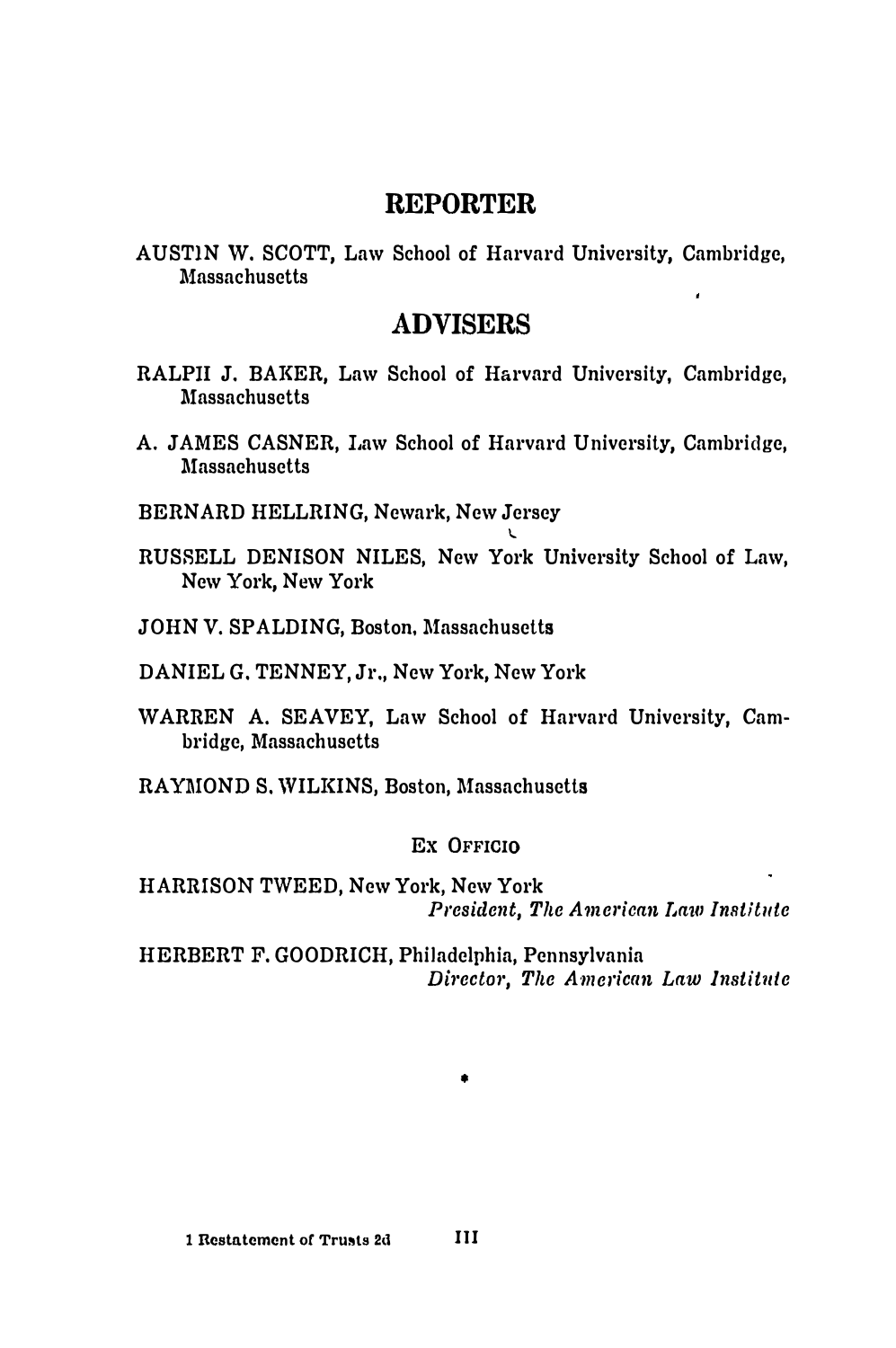## **REPORTER**

**AUSTIN W. SCOTT, Law School of Harvard University, Cambridge, l\fossach usetts**  $\lambda$ 

## **ADVISERS**

- **RALPII J. BAKER, Law School of Harvard University, Cambridge, l\fossach usetts**
- **A. JAMES CASNER, Law School of Harvard University, Cambridge, l\fassaeh usetts**
- **BERNARD HELLRING, Newark, New Jersey**
- **RUSSELL DENISON NILES, New York University School of Law, New York, New York**

I.

- **JOHN V. SPALDING, Boston, Massachusetts**
- **DANIEL G. TENNEY, Jr., New York, New York**
- **WARREN A. SEAVEY, Law School of Harvard University, Cambridge, Massachusetts**
- **RAY.MONO S. WILKINS, Boston, Massachusetts**

### **Ex OFFICIO**

**HARRISON TWEED, New York, New York** *President, The American Law Institute* 

**HERBERT F. GOODRICH, Philadelphia, Pennsylvania** *Dfrector, The American Law Institute* 

•